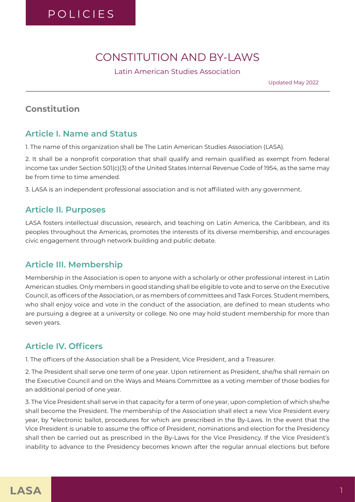# CONSTITUTION AND BY-LAWS

Latin American Studies Association

Updated May 2022

## **Constitution**

#### **Article I. Name and Status**

1. The name of this organization shall be The Latin American Studies Association (LASA).

2. It shall be a nonprofit corporation that shall qualify and remain qualified as exempt from federal income tax under Section 501(c)(3) of the United States Internal Revenue Code of 1954, as the same may be from time to time amended.

3. LASA is an independent professional association and is not affiliated with any government.

## **Article II. Purposes**

LASA fosters intellectual discussion, research, and teaching on Latin America, the Caribbean, and its peoples throughout the Americas, promotes the interests of its diverse membership, and encourages civic engagement through network building and public debate.

## **Article III. Membership**

Membership in the Association is open to anyone with a scholarly or other professional interest in Latin American studies. Only members in good standing shall be eligible to vote and to serve on the Executive Council, as officers of the Association, or as members of committees and Task Forces. Student members, who shall enjoy voice and vote in the conduct of the association, are defined to mean students who are pursuing a degree at a university or college. No one may hold student membership for more than seven years.

# **Article IV. Officers**

1. The officers of the Association shall be a President, Vice President, and a Treasurer.

2. The President shall serve one term of one year. Upon retirement as President, she/he shall remain on the Executive Council and on the Ways and Means Committee as a voting member of those bodies for an additional period of one year.

3. The Vice President shall serve in that capacity for a term of one year, upon completion of which she/he shall become the President. The membership of the Association shall elect a new Vice President every year, by \*electronic ballot, procedures for which are prescribed in the By-Laws. In the event that the Vice President is unable to assume the office of President, nominations and election for the Presidency shall then be carried out as prescribed in the By-Laws for the Vice Presidency. If the Vice President's inability to advance to the Presidency becomes known after the regular annual elections but before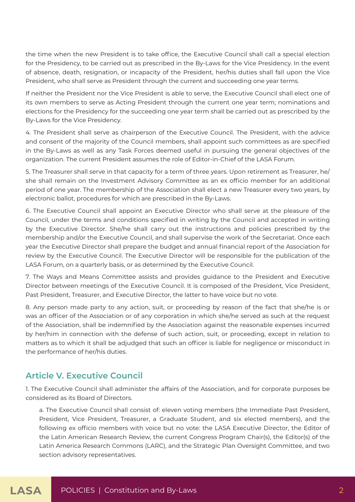the time when the new President is to take office, the Executive Council shall call a special election for the Presidency, to be carried out as prescribed in the By-Laws for the Vice Presidency. In the event of absence, death, resignation, or incapacity of the President, her/his duties shall fall upon the Vice President, who shall serve as President through the current and succeeding one year terms.

If neither the President nor the Vice President is able to serve, the Executive Council shall elect one of its own members to serve as Acting President through the current one year term; nominations and elections for the Presidency for the succeeding one year term shall be carried out as prescribed by the By-Laws for the Vice Presidency.

4. The President shall serve as chairperson of the Executive Council. The President, with the advice and consent of the majority of the Council members, shall appoint such committees as are specified in the By-Laws as well as any Task Forces deemed useful in pursuing the general objectives of the organization. The current President assumes the role of Editor-in-Chief of the LASA Forum.

5. The Treasurer shall serve in that capacity for a term of three years. Upon retirement as Treasurer, he/ she shall remain on the Investment Advisory Committee as an ex officio member for an additional period of one year. The membership of the Association shall elect a new Treasurer every two years, by electronic ballot, procedures for which are prescribed in the By-Laws.

6. The Executive Council shall appoint an Executive Director who shall serve at the pleasure of the Council, under the terms and conditions specified in writing by the Council and accepted in writing by the Executive Director. She/he shall carry out the instructions and policies prescribed by the membership and/or the Executive Council, and shall supervise the work of the Secretariat. Once each year the Executive Director shall prepare the budget and annual financial report of the Association for review by the Executive Council. The Executive Director will be responsible for the publication of the LASA Forum, on a quarterly basis, or as determined by the Executive Council.

7. The Ways and Means Committee assists and provides guidance to the President and Executive Director between meetings of the Executive Council. It is composed of the President, Vice President, Past President, Treasurer, and Executive Director, the latter to have voice but no vote.

8. Any person made party to any action, suit, or proceeding by reason of the fact that she/he is or was an officer of the Association or of any corporation in which she/he served as such at the request of the Association, shall be indemnified by the Association against the reasonable expenses incurred by her/him in connection with the defense of such action, suit, or proceeding, except in relation to matters as to which it shall be adjudged that such an officer is liable for negligence or misconduct in the performance of her/his duties.

## **Article V. Executive Council**

1. The Executive Council shall administer the affairs of the Association, and for corporate purposes be considered as its Board of Directors.

a. The Executive Council shall consist of: eleven voting members (the Immediate Past President, President, Vice President, Treasurer, a Graduate Student, and six elected members), and the following ex officio members with voice but no vote: the LASA Executive Director, the Editor of the Latin American Research Review, the current Congress Program Chair(s), the Editor(s) of the Latin America Research Commons (LARC), and the Strategic Plan Oversight Committee, and two section advisory representatives.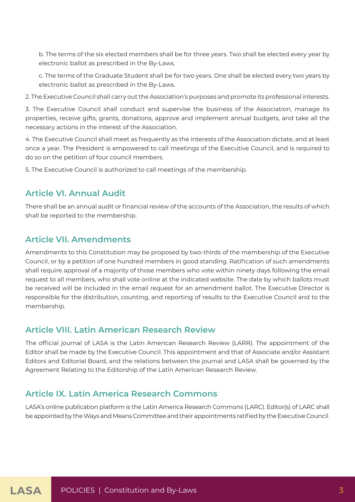b. The terms of the six elected members shall be for three years. Two shall be elected every year by electronic ballot as prescribed in the By-Laws.

c. The terms of the Graduate Student shall be for two years. One shall be elected every two years by electronic ballot as prescribed in the By-Laws.

2. The Executive Council shall carry out the Association's purposes and promote its professional interests.

3. The Executive Council shall conduct and supervise the business of the Association, manage its properties, receive gifts, grants, donations, approve and implement annual budgets, and take all the necessary actions in the interest of the Association.

4. The Executive Council shall meet as frequently as the interests of the Association dictate, and at least once a year. The President is empowered to call meetings of the Executive Council, and is required to do so on the petition of four council members.

5. The Executive Council is authorized to call meetings of the membership.

## **Article VI. Annual Audit**

There shall be an annual audit or financial review of the accounts of the Association, the results of which shall be reported to the membership.

## **Article VII. Amendments**

Amendments to this Constitution may be proposed by two-thirds of the membership of the Executive Council, or by a petition of one hundred members in good standing. Ratification of such amendments shall require approval of a majority of those members who vote within ninety days following the email request to all members, who shall vote online at the indicated website. The date by which ballots must be received will be included in the email request for an amendment ballot. The Executive Director is responsible for the distribution, counting, and reporting of results to the Executive Council and to the membership.

## **Article VIII. Latin American Research Review**

The official journal of LASA is the Latin American Research Review (LARR). The appointment of the Editor shall be made by the Executive Council. This appointment and that of Associate and/or Assistant Editors and Editorial Board, and the relations between the journal and LASA shall be governed by the Agreement Relating to the Editorship of the Latin American Research Review.

## **Article IX. Latin America Research Commons**

LASA's online publication platform is the Latin America Research Commons (LARC). Editor(s) of LARC shall be appointed by the Ways and Means Committee and their appointments ratified by the Executive Council.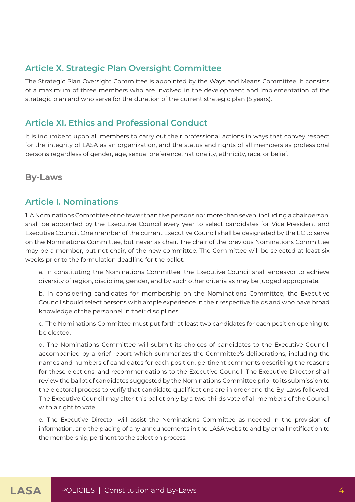## **Article X. Strategic Plan Oversight Committee**

The Strategic Plan Oversight Committee is appointed by the Ways and Means Committee. It consists of a maximum of three members who are involved in the development and implementation of the strategic plan and who serve for the duration of the current strategic plan (5 years).

#### **Article XI. Ethics and Professional Conduct**

It is incumbent upon all members to carry out their professional actions in ways that convey respect for the integrity of LASA as an organization, and the status and rights of all members as professional persons regardless of gender, age, sexual preference, nationality, ethnicity, race, or belief.

**By-Laws**

#### **Article I. Nominations**

1. A Nominations Committee of no fewer than five persons nor more than seven, including a chairperson, shall be appointed by the Executive Council every year to select candidates for Vice President and Executive Council. One member of the current Executive Council shall be designated by the EC to serve on the Nominations Committee, but never as chair. The chair of the previous Nominations Committee may be a member, but not chair, of the new committee. The Committee will be selected at least six weeks prior to the formulation deadline for the ballot.

a. In constituting the Nominations Committee, the Executive Council shall endeavor to achieve diversity of region, discipline, gender, and by such other criteria as may be judged appropriate.

b. In considering candidates for membership on the Nominations Committee, the Executive Council should select persons with ample experience in their respective fields and who have broad knowledge of the personnel in their disciplines.

c. The Nominations Committee must put forth at least two candidates for each position opening to be elected.

d. The Nominations Committee will submit its choices of candidates to the Executive Council, accompanied by a brief report which summarizes the Committee's deliberations, including the names and numbers of candidates for each position, pertinent comments describing the reasons for these elections, and recommendations to the Executive Council. The Executive Director shall review the ballot of candidates suggested by the Nominations Committee prior to its submission to the electoral process to verify that candidate qualifications are in order and the By-Laws followed. The Executive Council may alter this ballot only by a two-thirds vote of all members of the Council with a right to vote.

e. The Executive Director will assist the Nominations Committee as needed in the provision of information, and the placing of any announcements in the LASA website and by email notification to the membership, pertinent to the selection process.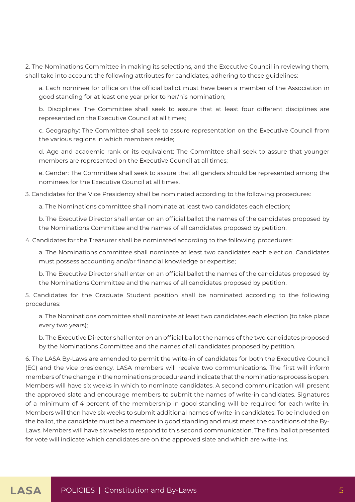2. The Nominations Committee in making its selections, and the Executive Council in reviewing them, shall take into account the following attributes for candidates, adhering to these guidelines:

a. Each nominee for office on the official ballot must have been a member of the Association in good standing for at least one year prior to her/his nomination;

b. Disciplines: The Committee shall seek to assure that at least four different disciplines are represented on the Executive Council at all times;

c. Geography: The Committee shall seek to assure representation on the Executive Council from the various regions in which members reside;

d. Age and academic rank or its equivalent: The Committee shall seek to assure that younger members are represented on the Executive Council at all times;

e. Gender: The Committee shall seek to assure that all genders should be represented among the nominees for the Executive Council at all times.

3. Candidates for the Vice Presidency shall be nominated according to the following procedures:

a. The Nominations committee shall nominate at least two candidates each election;

b. The Executive Director shall enter on an official ballot the names of the candidates proposed by the Nominations Committee and the names of all candidates proposed by petition.

4. Candidates for the Treasurer shall be nominated according to the following procedures:

a. The Nominations committee shall nominate at least two candidates each election. Candidates must possess accounting and/or financial knowledge or expertise;

b. The Executive Director shall enter on an official ballot the names of the candidates proposed by the Nominations Committee and the names of all candidates proposed by petition.

5. Candidates for the Graduate Student position shall be nominated according to the following procedures:

a. The Nominations committee shall nominate at least two candidates each election (to take place every two years);

b. The Executive Director shall enter on an official ballot the names of the two candidates proposed by the Nominations Committee and the names of all candidates proposed by petition.

6. The LASA By-Laws are amended to permit the write-in of candidates for both the Executive Council (EC) and the vice presidency. LASA members will receive two communications. The first will inform members of the change in the nominations procedure and indicate that the nominations process is open. Members will have six weeks in which to nominate candidates. A second communication will present the approved slate and encourage members to submit the names of write-in candidates. Signatures of a minimum of 4 percent of the membership in good standing will be required for each write-in. Members will then have six weeks to submit additional names of write-in candidates. To be included on the ballot, the candidate must be a member in good standing and must meet the conditions of the By-Laws. Members will have six weeks to respond to this second communication. The final ballot presented for vote will indicate which candidates are on the approved slate and which are write-ins.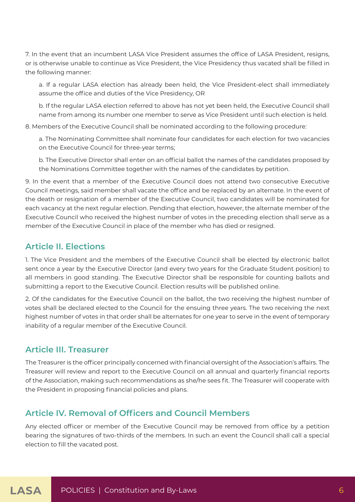7. In the event that an incumbent LASA Vice President assumes the office of LASA President, resigns, or is otherwise unable to continue as Vice President, the Vice Presidency thus vacated shall be filled in the following manner:

a. If a regular LASA election has already been held, the Vice President-elect shall immediately assume the office and duties of the Vice Presidency, OR

b. If the regular LASA election referred to above has not yet been held, the Executive Council shall name from among its number one member to serve as Vice President until such election is held.

8. Members of the Executive Council shall be nominated according to the following procedure:

a. The Nominating Committee shall nominate four candidates for each election for two vacancies on the Executive Council for three-year terms;

b. The Executive Director shall enter on an official ballot the names of the candidates proposed by the Nominations Committee together with the names of the candidates by petition.

9. In the event that a member of the Executive Council does not attend two consecutive Executive Council meetings, said member shall vacate the office and be replaced by an alternate. In the event of the death or resignation of a member of the Executive Council, two candidates will be nominated for each vacancy at the next regular election. Pending that election, however, the alternate member of the Executive Council who received the highest number of votes in the preceding election shall serve as a member of the Executive Council in place of the member who has died or resigned.

## **Article II. Elections**

1. The Vice President and the members of the Executive Council shall be elected by electronic ballot sent once a year by the Executive Director (and every two years for the Graduate Student position) to all members in good standing. The Executive Director shall be responsible for counting ballots and submitting a report to the Executive Council. Election results will be published online.

2. Of the candidates for the Executive Council on the ballot, the two receiving the highest number of votes shall be declared elected to the Council for the ensuing three years. The two receiving the next highest number of votes in that order shall be alternates for one year to serve in the event of temporary inability of a regular member of the Executive Council.

#### **Article III. Treasurer**

The Treasurer is the officer principally concerned with financial oversight of the Association's affairs. The Treasurer will review and report to the Executive Council on all annual and quarterly financial reports of the Association, making such recommendations as she/he sees fit. The Treasurer will cooperate with the President in proposing financial policies and plans.

# **Article IV. Removal of Officers and Council Members**

Any elected officer or member of the Executive Council may be removed from office by a petition bearing the signatures of two-thirds of the members. In such an event the Council shall call a special election to fill the vacated post.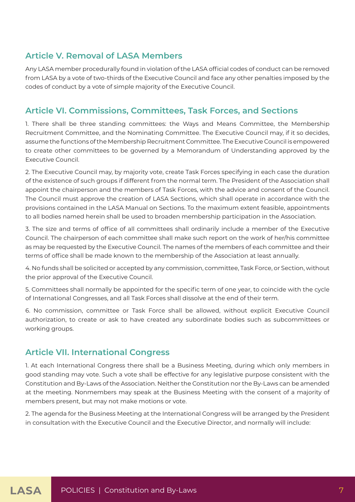# **Article V. Removal of LASA Members**

Any LASA member procedurally found in violation of the LASA official codes of conduct can be removed from LASA by a vote of two-thirds of the Executive Council and face any other penalties imposed by the codes of conduct by a vote of simple majority of the Executive Council.

# **Article VI. Commissions, Committees, Task Forces, and Sections**

1. There shall be three standing committees: the Ways and Means Committee, the Membership Recruitment Committee, and the Nominating Committee. The Executive Council may, if it so decides, assume the functions of the Membership Recruitment Committee. The Executive Council is empowered to create other committees to be governed by a Memorandum of Understanding approved by the Executive Council.

2. The Executive Council may, by majority vote, create Task Forces specifying in each case the duration of the existence of such groups if different from the normal term. The President of the Association shall appoint the chairperson and the members of Task Forces, with the advice and consent of the Council. The Council must approve the creation of LASA Sections, which shall operate in accordance with the provisions contained in the LASA Manual on Sections. To the maximum extent feasible, appointments to all bodies named herein shall be used to broaden membership participation in the Association.

3. The size and terms of office of all committees shall ordinarily include a member of the Executive Council. The chairperson of each committee shall make such report on the work of her/his committee as may be requested by the Executive Council. The names of the members of each committee and their terms of office shall be made known to the membership of the Association at least annually.

4. No funds shall be solicited or accepted by any commission, committee, Task Force, or Section, without the prior approval of the Executive Council.

5. Committees shall normally be appointed for the specific term of one year, to coincide with the cycle of International Congresses, and all Task Forces shall dissolve at the end of their term.

6. No commission, committee or Task Force shall be allowed, without explicit Executive Council authorization, to create or ask to have created any subordinate bodies such as subcommittees or working groups.

## **Article VII. International Congress**

1. At each International Congress there shall be a Business Meeting, during which only members in good standing may vote. Such a vote shall be effective for any legislative purpose consistent with the Constitution and By-Laws of the Association. Neither the Constitution nor the By-Laws can be amended at the meeting. Nonmembers may speak at the Business Meeting with the consent of a majority of members present, but may not make motions or vote.

2. The agenda for the Business Meeting at the International Congress will be arranged by the President in consultation with the Executive Council and the Executive Director, and normally will include: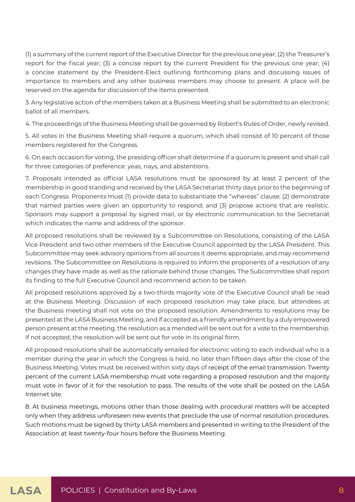(1) a summary of the current report of the Executive Director for the previous one year; (2) the Treasurer's report for the fiscal year; (3) a concise report by the current President for the previous one year; (4) a concise statement by the President-Elect outlining forthcoming plans and discussing issues of importance to members and any other business members may choose to present. A place will be reserved on the agenda for discussion of the items presented.

3. Any legislative action of the members taken at a Business Meeting shall be submitted to an electronic ballot of all members.

4. The proceedings of the Business Meeting shall be governed by Robert's Rules of Order, newly revised.

5. All votes in the Business Meeting shall require a quorum, which shall consist of 10 percent of those members registered for the Congress.

6. On each occasion for voting, the presiding officer shall determine if a quorum is present and shall call for three categories of preference: yeas, nays, and abstentions.

7. Proposals intended as official LASA resolutions must be sponsored by at least 2 percent of the membership in good standing and received by the LASA Secretariat thirty days prior to the beginning of each Congress. Proponents must (1) provide data to substantiate the "whereas" clause; (2) demonstrate that named parties were given an opportunity to respond; and (3) propose actions that are realistic. Sponsors may support a proposal by signed mail, or by electronic communication to the Secretariat which indicates the name and address of the sponsor.

All proposed resolutions shall be reviewed by a Subcommittee on Resolutions, consisting of the LASA Vice President and two other members of the Executive Council appointed by the LASA President. This Subcommittee may seek advisory opinions from all sources it deems appropriate, and may recommend revisions. The Subcommittee on Resolutions is required to inform the proponents of a resolution of any changes they have made as well as the rationale behind those changes. The Subcommittee shall report its finding to the full Executive Council and recommend action to be taken.

All proposed resolutions approved by a two-thirds majority vote of the Executive Council shall be read at the Business Meeting. Discussion of each proposed resolution may take place, but attendees at the Business meeting shall not vote on the proposed resolution. Amendments to resolutions may be presented at the LASA Business Meeting, and if accepted as a friendly amendment by a duly empowered person present at the meeting, the resolution as a mended will be sent out for a vote to the membership. If not accepted, the resolution will be sent out for vote in its original form.

All proposed resolutions shall be automatically emailed for electronic voting to each individual who is a member during the year in which the Congress is held, no later than fifteen days after the close of the Business Meeting. Votes must be received within sixty days of receipt of the email transmission. Twenty percent of the current LASA membership must vote regarding a proposed resolution and the majority must vote in favor of it for the resolution to pass. The results of the vote shall be posted on the LASA Internet site.

8. At business meetings, motions other than those dealing with procedural matters will be accepted only when they address unforeseen new events that preclude the use of normal resolution procedures. Such motions must be signed by thirty LASA members and presented in writing to the President of the Association at least twenty-four hours before the Business Meeting.